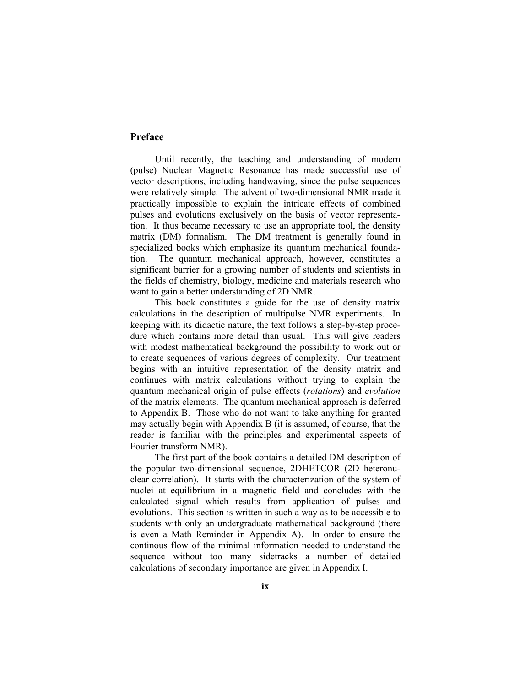## **Preface**

Until recently, the teaching and understanding of modern (pulse) Nuclear Magnetic Resonance has made successful use of vector descriptions, including handwaving, since the pulse sequences were relatively simple. The advent of two-dimensional NMR made it practically impossible to explain the intricate effects of combined pulses and evolutions exclusively on the basis of vector representation. It thus became necessary to use an appropriate tool, the density matrix (DM) formalism. The DM treatment is generally found in specialized books which emphasize its quantum mechanical foundation. The quantum mechanical approach, however, constitutes a significant barrier for a growing number of students and scientists in the fields of chemistry, biology, medicine and materials research who want to gain a better understanding of 2D NMR.

This book constitutes a guide for the use of density matrix calculations in the description of multipulse NMR experiments. In keeping with its didactic nature, the text follows a step-by-step procedure which contains more detail than usual. This will give readers with modest mathematical background the possibility to work out or to create sequences of various degrees of complexity. Our treatment begins with an intuitive representation of the density matrix and continues with matrix calculations without trying to explain the quantum mechanical origin of pulse effects (*rotations*) and *evolution* of the matrix elements. The quantum mechanical approach is deferred to Appendix B. Those who do not want to take anything for granted may actually begin with Appendix B (it is assumed, of course, that the reader is familiar with the principles and experimental aspects of Fourier transform NMR).

The first part of the book contains a detailed DM description of the popular two-dimensional sequence, 2DHETCOR (2D heteronuclear correlation). It starts with the characterization of the system of nuclei at equilibrium in a magnetic field and concludes with the calculated signal which results from application of pulses and evolutions. This section is written in such a way as to be accessible to students with only an undergraduate mathematical background (there is even a Math Reminder in Appendix A). In order to ensure the continous flow of the minimal information needed to understand the sequence without too many sidetracks a number of detailed calculations of secondary importance are given in Appendix I.